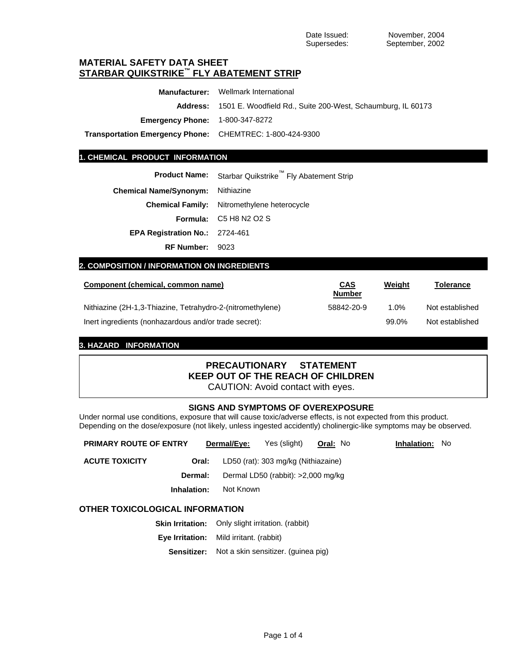Date Issued: November, 2004<br>Supersedes: September, 2002 September, 2002

# **MATERIAL SAFETY DATA SHEET STARBAR QUIKSTRIKE™ FLY ABATEMENT STRIP**

|                                                          | <b>Manufacturer:</b> Wellmark International                          |
|----------------------------------------------------------|----------------------------------------------------------------------|
|                                                          | Address: 1501 E. Woodfield Rd., Suite 200-West, Schaumburg, IL 60173 |
| <b>Emergency Phone:</b> 1-800-347-8272                   |                                                                      |
| Transportation Emergency Phone: CHEMTREC: 1-800-424-9300 |                                                                      |

## **1. CHEMICAL PRODUCT INFORMATION**

|                                       | <b>Product Name:</b> Starbar Quikstrike™ Fly Abatement Strip |  |  |
|---------------------------------------|--------------------------------------------------------------|--|--|
| Chemical Name/Synonym:                | Nithiazine                                                   |  |  |
|                                       | <b>Chemical Family:</b> Nitromethylene heterocycle           |  |  |
|                                       | <b>Formula:</b> $C5$ H8 N2 O2 S                              |  |  |
| <b>EPA Registration No.: 2724-461</b> |                                                              |  |  |
| RF Number: 9023                       |                                                              |  |  |

# **2. COMPOSITION / INFORMATION ON INGREDIENTS**

| Component (chemical, common name)                          | <u>CAS</u><br><b>Number</b> | <b>Weight</b> | <b>Tolerance</b> |
|------------------------------------------------------------|-----------------------------|---------------|------------------|
| Nithiazine (2H-1,3-Thiazine, Tetrahydro-2-(nitromethylene) | 58842-20-9                  | 1.0%          | Not established  |
| lnert ingredients (nonhazardous and/or trade secret):      |                             | 99.0%         | Not established  |

# **3. HAZARD INFORMATION**

# **PRECAUTIONARY STATEMENT KEEP OUT OF THE REACH OF CHILDREN**

CAUTION: Avoid contact with eyes.

## **SIGNS AND SYMPTOMS OF OVEREXPOSURE**

Under normal use conditions, exposure that will cause toxic/adverse effects, is not expected from this product. Depending on the dose/exposure (not likely, unless ingested accidently) cholinergic-like symptoms may be observed.

| <b>PRIMARY ROUTE OF ENTRY</b> |             | Dermal/Eye: | Yes (slight)                        | <b>Oral: No</b> | Inhalation:<br>No. |
|-------------------------------|-------------|-------------|-------------------------------------|-----------------|--------------------|
| <b>ACUTE TOXICITY</b>         | Oral:       |             | LD50 (rat): 303 mg/kg (Nithiazaine) |                 |                    |
|                               | Dermal:     |             | Dermal LD50 (rabbit): >2,000 mg/kg  |                 |                    |
|                               | Inhalation: | Not Known   |                                     |                 |                    |
|                               |             |             |                                     |                 |                    |

## **OTHER TOXICOLOGICAL INFORMATION**

| <b>Skin Irritation:</b> Only slight irritation. (rabbit) |
|----------------------------------------------------------|
| <b>Eye Irritation:</b> Mild irritant. (rabbit)           |

**Sensitizer:** Not a skin sensitizer. (guinea pig)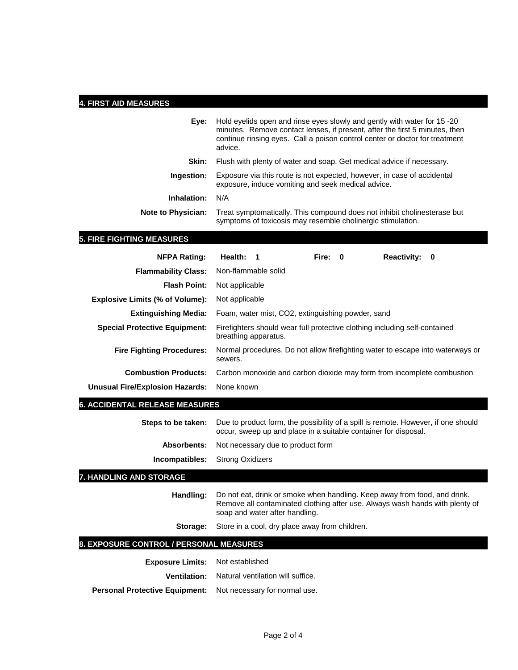## **4. FIRST AID MEASURES**

| Eve:                      | Hold eyelids open and rinse eyes slowly and gently with water for 15 -20<br>minutes. Remove contact lenses, if present, after the first 5 minutes, then<br>continue rinsing eyes. Call a poison control center or doctor for treatment<br>advice. |
|---------------------------|---------------------------------------------------------------------------------------------------------------------------------------------------------------------------------------------------------------------------------------------------|
| Skin:                     | Flush with plenty of water and soap. Get medical advice if necessary.                                                                                                                                                                             |
| Ingestion:                | Exposure via this route is not expected, however, in case of accidental<br>exposure, induce vomiting and seek medical advice.                                                                                                                     |
| Inhalation:               | N/A                                                                                                                                                                                                                                               |
| <b>Note to Physician:</b> | Treat symptomatically. This compound does not inhibit cholinesterase but<br>symptoms of toxicosis may resemble cholinergic stimulation.                                                                                                           |

# **5. FIRE FIGHTING MEASURES**

| <b>NFPA Rating:</b>                    | Health: 1      |                      | Fire: 0                                           | Reactivity: 0                                                              |                                                                                |
|----------------------------------------|----------------|----------------------|---------------------------------------------------|----------------------------------------------------------------------------|--------------------------------------------------------------------------------|
| <b>Flammability Class:</b>             |                | Non-flammable solid  |                                                   |                                                                            |                                                                                |
| <b>Flash Point:</b>                    | Not applicable |                      |                                                   |                                                                            |                                                                                |
| <b>Explosive Limits (% of Volume):</b> | Not applicable |                      |                                                   |                                                                            |                                                                                |
| <b>Extinguishing Media:</b>            |                |                      | Foam, water mist, CO2, extinguishing powder, sand |                                                                            |                                                                                |
| <b>Special Protective Equipment:</b>   |                | breathing apparatus. |                                                   | Firefighters should wear full protective clothing including self-contained |                                                                                |
| <b>Fire Fighting Procedures:</b>       | sewers.        |                      |                                                   |                                                                            | Normal procedures. Do not allow firefighting water to escape into waterways or |
| <b>Combustion Products:</b>            |                |                      |                                                   | Carbon monoxide and carbon dioxide may form from incomplete combustion     |                                                                                |
| Unusual Fire/Explosion Hazards:        | None known     |                      |                                                   |                                                                            |                                                                                |

# **6. ACCIDENTAL RELEASE MEASURES**

**Steps to be taken:** Due to product form, the possibility of a spill is remote. However, if one should occur, sweep up and place in a suitable container for disposal. **Absorbents:** Not necessary due to product form

**Incompatibles:** Strong Oxidizers

## **7. HANDLING AND STORAGE**

**Handling:** Do not eat, drink or smoke when handling. Keep away from food, and drink. Remove all contaminated clothing after use. Always wash hands with plenty of soap and water after handling.

**Storage:** Store in a cool, dry place away from children.

# **8. EXPOSURE CONTROL / PERSONAL MEASURES**

| <b>Exposure Limits:</b> Not established |                                                       |
|-----------------------------------------|-------------------------------------------------------|
|                                         | <b>Ventilation:</b> Natural ventilation will suffice. |
|                                         |                                                       |

Personal Protective Equipment: Not necessary for normal use.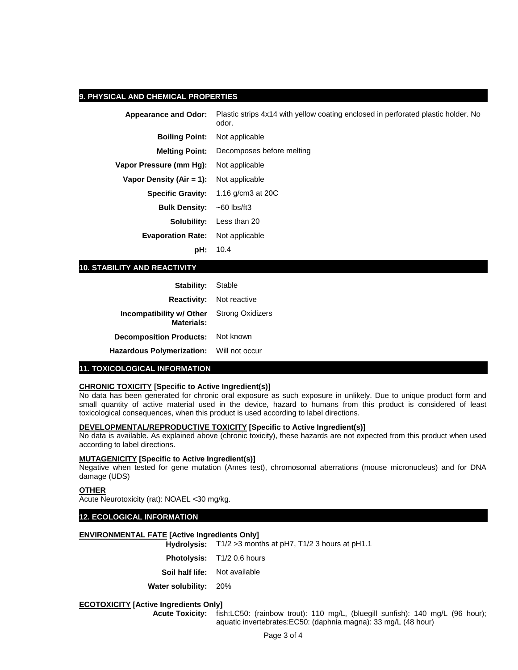## **9. PHYSICAL AND CHEMICAL PROPERTIES**

| <b>Appearance and Odor:</b>                    | Plastic strips 4x14 with yellow coating enclosed in perforated plastic holder. No<br>odor. |
|------------------------------------------------|--------------------------------------------------------------------------------------------|
| <b>Boiling Point:</b> Not applicable           |                                                                                            |
|                                                | <b>Melting Point:</b> Decomposes before melting                                            |
| Vapor Pressure (mm Hg): Not applicable         |                                                                                            |
| <b>Vapor Density (Air = 1):</b> Not applicable |                                                                                            |
|                                                | <b>Specific Gravity:</b> $1.16$ g/cm3 at 20C                                               |
| <b>Bulk Density:</b>                           | $~50$ lbs/ft3                                                                              |
|                                                | <b>Solubility:</b> Less than 20                                                            |
| <b>Evaporation Rate:</b> Not applicable        |                                                                                            |
| pH:                                            | 10.4                                                                                       |

## **10. STABILITY AND REACTIVITY**

| <b>Stability:</b> Stable                                       |                          |
|----------------------------------------------------------------|--------------------------|
|                                                                | Reactivity: Not reactive |
| <b>Incompatibility w/ Other</b> Strong Oxidizers<br>Materials: |                          |
| <b>Decomposition Products:</b> Not known                       |                          |
| Hazardous Polymerization: Will not occur                       |                          |

#### **11. TOXICOLOGICAL INFORMATION**

#### **CHRONIC TOXICITY [Specific to Active Ingredient(s)]**

No data has been generated for chronic oral exposure as such exposure in unlikely. Due to unique product form and small quantity of active material used in the device, hazard to humans from this product is considered of least toxicological consequences, when this product is used according to label directions.

#### **DEVELOPMENTAL/REPRODUCTIVE TOXICITY [Specific to Active Ingredient(s)]**

No data is available. As explained above (chronic toxicity), these hazards are not expected from this product when used according to label directions.

#### **MUTAGENICITY [Specific to Active Ingredient(s)]**

Negative when tested for gene mutation (Ames test), chromosomal aberrations (mouse micronucleus) and for DNA damage (UDS)

#### **OTHER**

.

Acute Neurotoxicity (rat): NOAEL <30 mg/kg.

**12. ECOLOGICAL INFORMATION**

#### **ENVIRONMENTAL FATE [Active Ingredients Only]**

**Hydrolysis:** T1/2 >3 months at pH7, T1/2 3 hours at pH1.1

- **Photolysis:** T1/2 0.6 hours
- **Soil half life:** Not available
- **Water solubility:** 20%

#### **ECOTOXICITY [Active Ingredients Only]**

**Acute Toxicity:** fish:LC50: (rainbow trout): 110 mg/L, (bluegill sunfish): 140 mg/L (96 hour); aquatic invertebrates:EC50: (daphnia magna): 33 mg/L (48 hour)